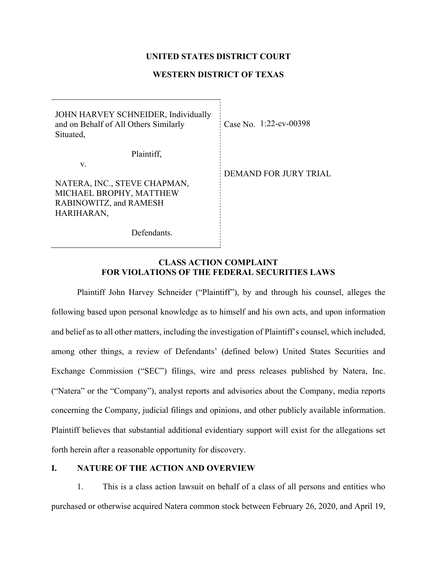## **UNITED STATES DISTRICT COURT**

# **WESTERN DISTRICT OF TEXAS**

| JOHN HARVEY SCHNEIDER, Individually<br>and on Behalf of All Others Similarly<br>Situated, | Case No. $1:22$ -cv-00398    |
|-------------------------------------------------------------------------------------------|------------------------------|
| Plaintiff,                                                                                |                              |
| V.                                                                                        |                              |
|                                                                                           | <b>DEMAND FOR JURY TRIAL</b> |
| NATERA, INC., STEVE CHAPMAN,                                                              |                              |
| MICHAEL BROPHY, MATTHEW                                                                   |                              |
| RABINOWITZ, and RAMESH                                                                    |                              |
| HARIHARAN,                                                                                |                              |
|                                                                                           |                              |
| Defendants.                                                                               |                              |

## **CLASS ACTION COMPLAINT FOR VIOLATIONS OF THE FEDERAL SECURITIES LAWS**

Plaintiff John Harvey Schneider ("Plaintiff"), by and through his counsel, alleges the following based upon personal knowledge as to himself and his own acts, and upon information and belief as to all other matters, including the investigation of Plaintiff's counsel, which included, among other things, a review of Defendants' (defined below) United States Securities and Exchange Commission ("SEC") filings, wire and press releases published by Natera, Inc. ("Natera" or the "Company"), analyst reports and advisories about the Company, media reports concerning the Company, judicial filings and opinions, and other publicly available information. Plaintiff believes that substantial additional evidentiary support will exist for the allegations set forth herein after a reasonable opportunity for discovery.

# **I. NATURE OF THE ACTION AND OVERVIEW**

1. This is a class action lawsuit on behalf of a class of all persons and entities who purchased or otherwise acquired Natera common stock between February 26, 2020, and April 19,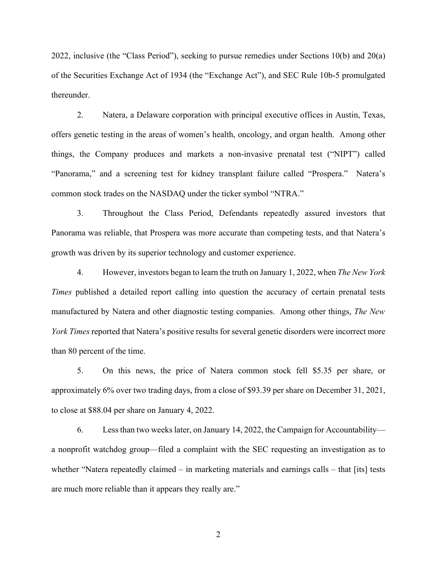2022, inclusive (the "Class Period"), seeking to pursue remedies under Sections 10(b) and 20(a) of the Securities Exchange Act of 1934 (the "Exchange Act"), and SEC Rule 10b-5 promulgated thereunder.

2. Natera, a Delaware corporation with principal executive offices in Austin, Texas, offers genetic testing in the areas of women's health, oncology, and organ health. Among other things, the Company produces and markets a non-invasive prenatal test ("NIPT") called "Panorama," and a screening test for kidney transplant failure called "Prospera." Natera's common stock trades on the NASDAQ under the ticker symbol "NTRA."

3. Throughout the Class Period, Defendants repeatedly assured investors that Panorama was reliable, that Prospera was more accurate than competing tests, and that Natera's growth was driven by its superior technology and customer experience.

4. However, investors began to learn the truth on January 1, 2022, when *The New York Times* published a detailed report calling into question the accuracy of certain prenatal tests manufactured by Natera and other diagnostic testing companies. Among other things, *The New York Times* reported that Natera's positive results for several genetic disorders were incorrect more than 80 percent of the time.

5. On this news, the price of Natera common stock fell \$5.35 per share, or approximately 6% over two trading days, from a close of \$93.39 per share on December 31, 2021, to close at \$88.04 per share on January 4, 2022.

6. Less than two weeks later, on January 14, 2022, the Campaign for Accountability a nonprofit watchdog group—filed a complaint with the SEC requesting an investigation as to whether "Natera repeatedly claimed – in marketing materials and earnings calls – that [its] tests are much more reliable than it appears they really are."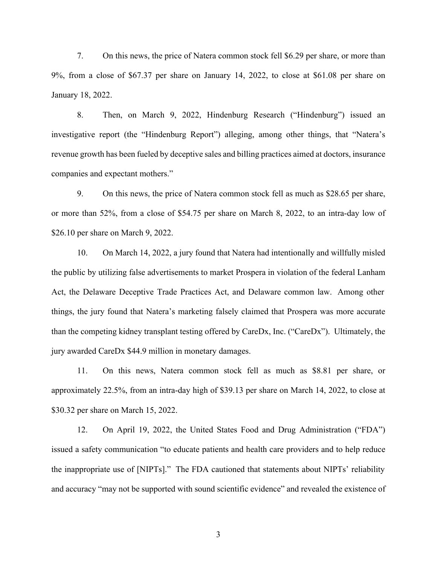7. On this news, the price of Natera common stock fell \$6.29 per share, or more than 9%, from a close of \$67.37 per share on January 14, 2022, to close at \$61.08 per share on January 18, 2022.

8. Then, on March 9, 2022, Hindenburg Research ("Hindenburg") issued an investigative report (the "Hindenburg Report") alleging, among other things, that "Natera's revenue growth has been fueled by deceptive sales and billing practices aimed at doctors, insurance companies and expectant mothers."

9. On this news, the price of Natera common stock fell as much as \$28.65 per share, or more than 52%, from a close of \$54.75 per share on March 8, 2022, to an intra-day low of \$26.10 per share on March 9, 2022.

10. On March 14, 2022, a jury found that Natera had intentionally and willfully misled the public by utilizing false advertisements to market Prospera in violation of the federal Lanham Act, the Delaware Deceptive Trade Practices Act, and Delaware common law. Among other things, the jury found that Natera's marketing falsely claimed that Prospera was more accurate than the competing kidney transplant testing offered by CareDx, Inc. ("CareDx"). Ultimately, the jury awarded CareDx \$44.9 million in monetary damages.

11. On this news, Natera common stock fell as much as \$8.81 per share, or approximately 22.5%, from an intra-day high of \$39.13 per share on March 14, 2022, to close at \$30.32 per share on March 15, 2022.

12. On April 19, 2022, the United States Food and Drug Administration ("FDA") issued a safety communication "to educate patients and health care providers and to help reduce the inappropriate use of [NIPTs]." The FDA cautioned that statements about NIPTs' reliability and accuracy "may not be supported with sound scientific evidence" and revealed the existence of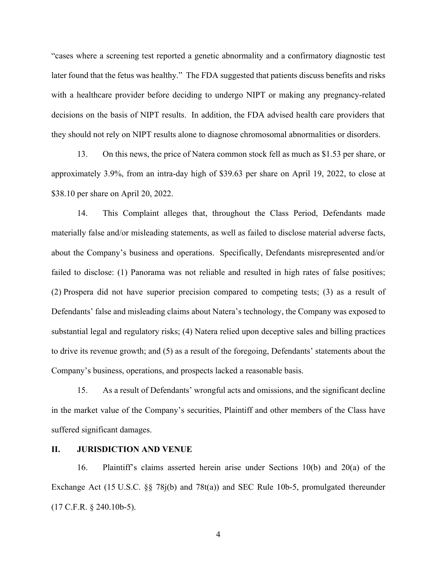"cases where a screening test reported a genetic abnormality and a confirmatory diagnostic test later found that the fetus was healthy." The FDA suggested that patients discuss benefits and risks with a healthcare provider before deciding to undergo NIPT or making any pregnancy-related decisions on the basis of NIPT results. In addition, the FDA advised health care providers that they should not rely on NIPT results alone to diagnose chromosomal abnormalities or disorders.

13. On this news, the price of Natera common stock fell as much as \$1.53 per share, or approximately 3.9%, from an intra-day high of \$39.63 per share on April 19, 2022, to close at \$38.10 per share on April 20, 2022.

14. This Complaint alleges that, throughout the Class Period, Defendants made materially false and/or misleading statements, as well as failed to disclose material adverse facts, about the Company's business and operations. Specifically, Defendants misrepresented and/or failed to disclose: (1) Panorama was not reliable and resulted in high rates of false positives; (2) Prospera did not have superior precision compared to competing tests; (3) as a result of Defendants' false and misleading claims about Natera's technology, the Company was exposed to substantial legal and regulatory risks; (4) Natera relied upon deceptive sales and billing practices to drive its revenue growth; and (5) as a result of the foregoing, Defendants' statements about the Company's business, operations, and prospects lacked a reasonable basis.

15. As a result of Defendants' wrongful acts and omissions, and the significant decline in the market value of the Company's securities, Plaintiff and other members of the Class have suffered significant damages.

## **II. JURISDICTION AND VENUE**

16. Plaintiff's claims asserted herein arise under Sections 10(b) and 20(a) of the Exchange Act (15 U.S.C. §§ 78j(b) and 78t(a)) and SEC Rule 10b-5, promulgated thereunder (17 C.F.R. § 240.10b-5).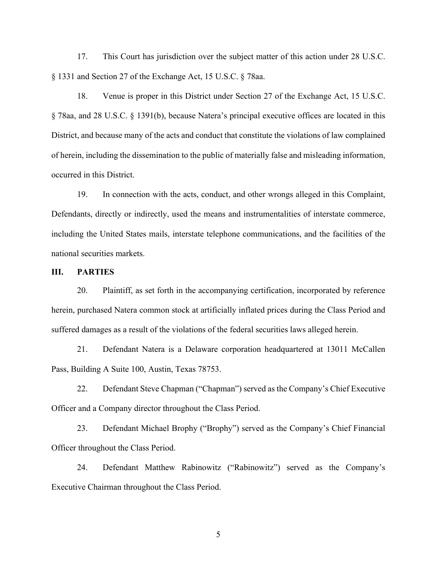17. This Court has jurisdiction over the subject matter of this action under 28 U.S.C. § 1331 and Section 27 of the Exchange Act, 15 U.S.C. § 78aa.

18. Venue is proper in this District under Section 27 of the Exchange Act, 15 U.S.C. § 78aa, and 28 U.S.C. § 1391(b), because Natera's principal executive offices are located in this District, and because many of the acts and conduct that constitute the violations of law complained of herein, including the dissemination to the public of materially false and misleading information, occurred in this District.

19. In connection with the acts, conduct, and other wrongs alleged in this Complaint, Defendants, directly or indirectly, used the means and instrumentalities of interstate commerce, including the United States mails, interstate telephone communications, and the facilities of the national securities markets.

# **III. PARTIES**

20. Plaintiff, as set forth in the accompanying certification, incorporated by reference herein, purchased Natera common stock at artificially inflated prices during the Class Period and suffered damages as a result of the violations of the federal securities laws alleged herein.

21. Defendant Natera is a Delaware corporation headquartered at 13011 McCallen Pass, Building A Suite 100, Austin, Texas 78753.

22. Defendant Steve Chapman ("Chapman") served as the Company's Chief Executive Officer and a Company director throughout the Class Period.

23. Defendant Michael Brophy ("Brophy") served as the Company's Chief Financial Officer throughout the Class Period.

24. Defendant Matthew Rabinowitz ("Rabinowitz") served as the Company's Executive Chairman throughout the Class Period.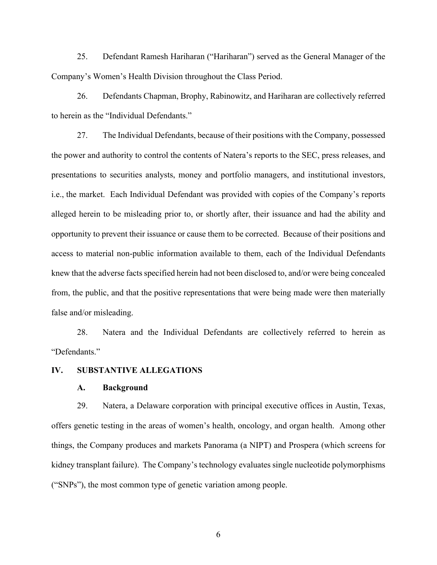25. Defendant Ramesh Hariharan ("Hariharan") served as the General Manager of the Company's Women's Health Division throughout the Class Period.

26. Defendants Chapman, Brophy, Rabinowitz, and Hariharan are collectively referred to herein as the "Individual Defendants."

27. The Individual Defendants, because of their positions with the Company, possessed the power and authority to control the contents of Natera's reports to the SEC, press releases, and presentations to securities analysts, money and portfolio managers, and institutional investors, i.e., the market. Each Individual Defendant was provided with copies of the Company's reports alleged herein to be misleading prior to, or shortly after, their issuance and had the ability and opportunity to prevent their issuance or cause them to be corrected. Because of their positions and access to material non-public information available to them, each of the Individual Defendants knew that the adverse facts specified herein had not been disclosed to, and/or were being concealed from, the public, and that the positive representations that were being made were then materially false and/or misleading.

28. Natera and the Individual Defendants are collectively referred to herein as "Defendants."

# **IV. SUBSTANTIVE ALLEGATIONS**

### **A. Background**

29. Natera, a Delaware corporation with principal executive offices in Austin, Texas, offers genetic testing in the areas of women's health, oncology, and organ health. Among other things, the Company produces and markets Panorama (a NIPT) and Prospera (which screens for kidney transplant failure). The Company's technology evaluates single nucleotide polymorphisms ("SNPs"), the most common type of genetic variation among people.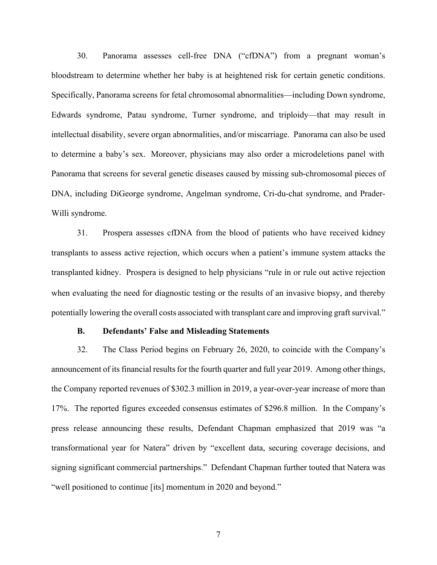30. Panorama assesses cell-free DNA ("cfDNA") from a pregnant woman's bloodstream to determine whether her baby is at heightened risk for certain genetic conditions. Specifically, Panorama screens for fetal chromosomal abnormalities—including Down syndrome, Edwards syndrome, Patau syndrome, Turner syndrome, and triploidy—that may result in intellectual disability, severe organ abnormalities, and/or miscarriage. Panorama can also be used to determine a baby's sex. Moreover, physicians may also order a microdeletions panel with Panorama that screens for several genetic diseases caused by missing sub-chromosomal pieces of DNA, including DiGeorge syndrome, Angelman syndrome, Cri-du-chat syndrome, and Prader-Willi syndrome.

when evaluating the need for diagnostic testing or the results of an invasive biopsy, and thereby potentially lowering the overall costs associated with transplant care and improving graft survival." 31. Prospera assesses cfDNA from the blood of patients who have received kidney transplants to assess active rejection, which occurs when a patient's immune system attacks the transplanted kidney. Prospera is designed to help physicians "rule in or rule out active rejection

## **B. Defendants' False and Misleading Statements**

32. The Class Period begins on February 26, 2020, to coincide with the Company's announcement of its financial results for the fourth quarter and full year 2019. Among other things, the Company reported revenues of \$302.3 million in 2019, a year-over-year increase of more than 17%. The reported figures exceeded consensus estimates of \$296.8 million. In the Company's press release announcing these results, Defendant Chapman emphasized that 2019 was "a transformational year for Natera" driven by "excellent data, securing coverage decisions, and signing significant commercial partnerships." Defendant Chapman further touted that Natera was "well positioned to continue [its] momentum in 2020 and beyond."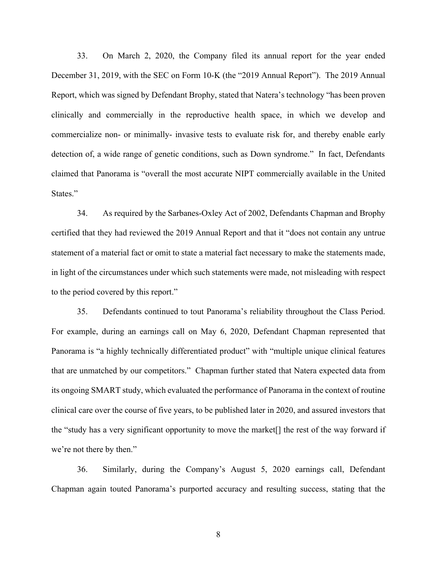33. On March 2, 2020, the Company filed its annual report for the year ended December 31, 2019, with the SEC on Form 10-K (the "2019 Annual Report"). The 2019 Annual Report, which was signed by Defendant Brophy, stated that Natera's technology "has been proven clinically and commercially in the reproductive health space, in which we develop and commercialize non- or minimally- invasive tests to evaluate risk for, and thereby enable early detection of, a wide range of genetic conditions, such as Down syndrome." In fact, Defendants claimed that Panorama is "overall the most accurate NIPT commercially available in the United States."

34. As required by the Sarbanes-Oxley Act of 2002, Defendants Chapman and Brophy certified that they had reviewed the 2019 Annual Report and that it "does not contain any untrue statement of a material fact or omit to state a material fact necessary to make the statements made, in light of the circumstances under which such statements were made, not misleading with respect to the period covered by this report."

35. Defendants continued to tout Panorama's reliability throughout the Class Period. For example, during an earnings call on May 6, 2020, Defendant Chapman represented that Panorama is "a highly technically differentiated product" with "multiple unique clinical features that are unmatched by our competitors." Chapman further stated that Natera expected data from its ongoing SMART study, which evaluated the performance of Panorama in the context of routine clinical care over the course of five years, to be published later in 2020, and assured investors that the "study has a very significant opportunity to move the market[] the rest of the way forward if we're not there by then."

36. Similarly, during the Company's August 5, 2020 earnings call, Defendant Chapman again touted Panorama's purported accuracy and resulting success, stating that the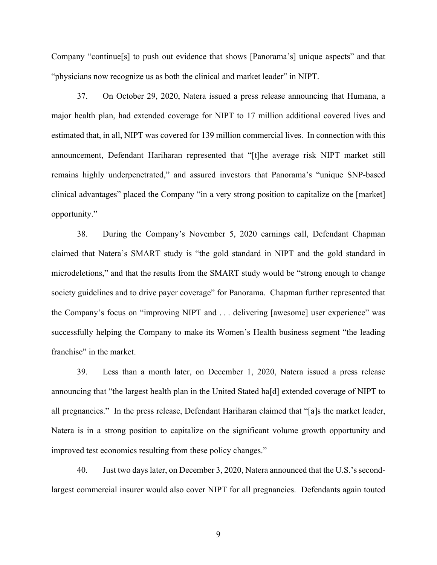Company "continue[s] to push out evidence that shows [Panorama's] unique aspects" and that "physicians now recognize us as both the clinical and market leader" in NIPT.

37. On October 29, 2020, Natera issued a press release announcing that Humana, a major health plan, had extended coverage for NIPT to 17 million additional covered lives and estimated that, in all, NIPT was covered for 139 million commercial lives. In connection with this announcement, Defendant Hariharan represented that "[t]he average risk NIPT market still remains highly underpenetrated," and assured investors that Panorama's "unique SNP-based clinical advantages" placed the Company "in a very strong position to capitalize on the [market] opportunity."

38. During the Company's November 5, 2020 earnings call, Defendant Chapman claimed that Natera's SMART study is "the gold standard in NIPT and the gold standard in microdeletions," and that the results from the SMART study would be "strong enough to change society guidelines and to drive payer coverage" for Panorama. Chapman further represented that the Company's focus on "improving NIPT and . . . delivering [awesome] user experience" was successfully helping the Company to make its Women's Health business segment "the leading franchise" in the market.

39. Less than a month later, on December 1, 2020, Natera issued a press release announcing that "the largest health plan in the United Stated ha[d] extended coverage of NIPT to all pregnancies." In the press release, Defendant Hariharan claimed that "[a]s the market leader, Natera is in a strong position to capitalize on the significant volume growth opportunity and improved test economics resulting from these policy changes."

40. Just two days later, on December 3, 2020, Natera announced that the U.S.'s secondlargest commercial insurer would also cover NIPT for all pregnancies. Defendants again touted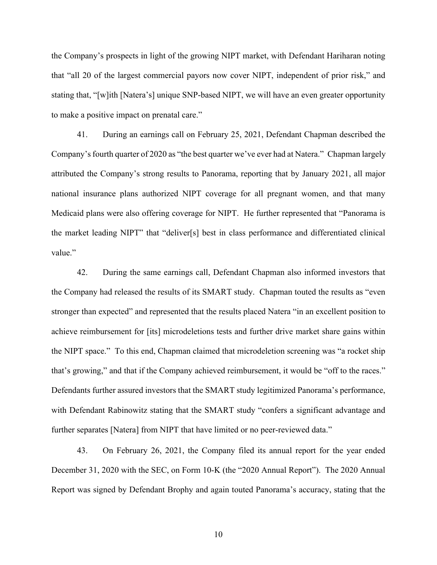the Company's prospects in light of the growing NIPT market, with Defendant Hariharan noting that "all 20 of the largest commercial payors now cover NIPT, independent of prior risk," and stating that, "[w]ith [Natera's] unique SNP-based NIPT, we will have an even greater opportunity to make a positive impact on prenatal care."

41. During an earnings call on February 25, 2021, Defendant Chapman described the Company's fourth quarter of 2020 as "the best quarter we've ever had at Natera." Chapman largely attributed the Company's strong results to Panorama, reporting that by January 2021, all major national insurance plans authorized NIPT coverage for all pregnant women, and that many Medicaid plans were also offering coverage for NIPT. He further represented that "Panorama is the market leading NIPT" that "deliver[s] best in class performance and differentiated clinical value."

42. During the same earnings call, Defendant Chapman also informed investors that the Company had released the results of its SMART study. Chapman touted the results as "even stronger than expected" and represented that the results placed Natera "in an excellent position to achieve reimbursement for [its] microdeletions tests and further drive market share gains within the NIPT space." To this end, Chapman claimed that microdeletion screening was "a rocket ship that's growing," and that if the Company achieved reimbursement, it would be "off to the races." Defendants further assured investors that the SMART study legitimized Panorama's performance, with Defendant Rabinowitz stating that the SMART study "confers a significant advantage and further separates [Natera] from NIPT that have limited or no peer-reviewed data."

43. On February 26, 2021, the Company filed its annual report for the year ended December 31, 2020 with the SEC, on Form 10-K (the "2020 Annual Report"). The 2020 Annual Report was signed by Defendant Brophy and again touted Panorama's accuracy, stating that the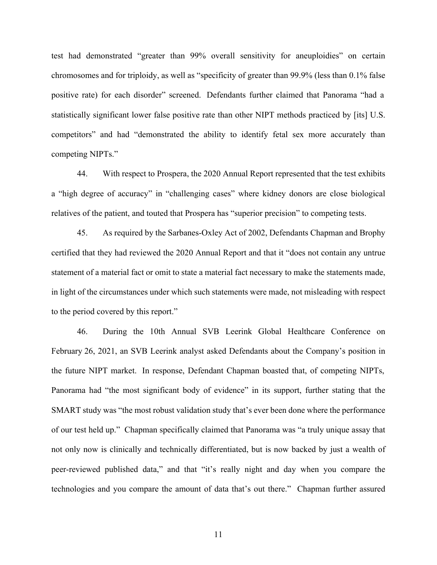test had demonstrated "greater than 99% overall sensitivity for aneuploidies" on certain chromosomes and for triploidy, as well as "specificity of greater than 99.9% (less than 0.1% false positive rate) for each disorder" screened. Defendants further claimed that Panorama "had a statistically significant lower false positive rate than other NIPT methods practiced by [its] U.S. competitors" and had "demonstrated the ability to identify fetal sex more accurately than competing NIPTs."

44. With respect to Prospera, the 2020 Annual Report represented that the test exhibits a "high degree of accuracy" in "challenging cases" where kidney donors are close biological relatives of the patient, and touted that Prospera has "superior precision" to competing tests.

45. As required by the Sarbanes-Oxley Act of 2002, Defendants Chapman and Brophy certified that they had reviewed the 2020 Annual Report and that it "does not contain any untrue statement of a material fact or omit to state a material fact necessary to make the statements made, in light of the circumstances under which such statements were made, not misleading with respect to the period covered by this report."

46. During the 10th Annual SVB Leerink Global Healthcare Conference on February 26, 2021, an SVB Leerink analyst asked Defendants about the Company's position in the future NIPT market. In response, Defendant Chapman boasted that, of competing NIPTs, Panorama had "the most significant body of evidence" in its support, further stating that the SMART study was "the most robust validation study that's ever been done where the performance of our test held up." Chapman specifically claimed that Panorama was "a truly unique assay that not only now is clinically and technically differentiated, but is now backed by just a wealth of peer-reviewed published data," and that "it's really night and day when you compare the technologies and you compare the amount of data that's out there." Chapman further assured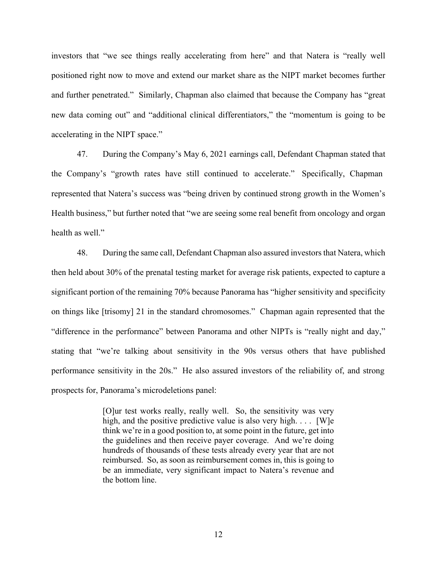investors that "we see things really accelerating from here" and that Natera is "really well positioned right now to move and extend our market share as the NIPT market becomes further and further penetrated." Similarly, Chapman also claimed that because the Company has "great new data coming out" and "additional clinical differentiators," the "momentum is going to be accelerating in the NIPT space."

47. During the Company's May 6, 2021 earnings call, Defendant Chapman stated that the Company's "growth rates have still continued to accelerate." Specifically, Chapman represented that Natera's success was "being driven by continued strong growth in the Women's Health business," but further noted that "we are seeing some real benefit from oncology and organ health as well."

48. During the same call, Defendant Chapman also assured investors that Natera, which then held about 30% of the prenatal testing market for average risk patients, expected to capture a significant portion of the remaining 70% because Panorama has "higher sensitivity and specificity on things like [trisomy] 21 in the standard chromosomes." Chapman again represented that the "difference in the performance" between Panorama and other NIPTs is "really night and day," stating that "we're talking about sensitivity in the 90s versus others that have published performance sensitivity in the 20s." He also assured investors of the reliability of, and strong prospects for, Panorama's microdeletions panel:

> [O]ur test works really, really well. So, the sensitivity was very high, and the positive predictive value is also very high.  $\dots$  [W]e think we're in a good position to, at some point in the future, get into the guidelines and then receive payer coverage. And we're doing hundreds of thousands of these tests already every year that are not reimbursed. So, as soon as reimbursement comes in, this is going to be an immediate, very significant impact to Natera's revenue and the bottom line.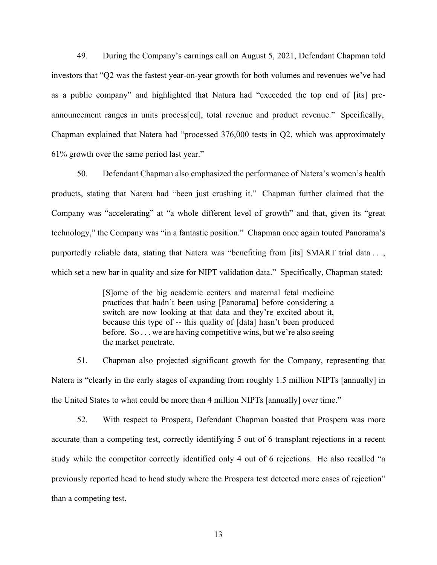49. During the Company's earnings call on August 5, 2021, Defendant Chapman told investors that "Q2 was the fastest year-on-year growth for both volumes and revenues we've had as a public company" and highlighted that Natura had "exceeded the top end of [its] preannouncement ranges in units process[ed], total revenue and product revenue." Specifically, Chapman explained that Natera had "processed 376,000 tests in Q2, which was approximately 61% growth over the same period last year."

50. Defendant Chapman also emphasized the performance of Natera's women's health products, stating that Natera had "been just crushing it." Chapman further claimed that the Company was "accelerating" at "a whole different level of growth" and that, given its "great technology," the Company was "in a fantastic position." Chapman once again touted Panorama's purportedly reliable data, stating that Natera was "benefiting from [its] SMART trial data . . ., which set a new bar in quality and size for NIPT validation data." Specifically, Chapman stated:

> [S]ome of the big academic centers and maternal fetal medicine practices that hadn't been using [Panorama] before considering a switch are now looking at that data and they're excited about it, because this type of -- this quality of [data] hasn't been produced before. So . . . we are having competitive wins, but we're also seeing the market penetrate.

51. Chapman also projected significant growth for the Company, representing that Natera is "clearly in the early stages of expanding from roughly 1.5 million NIPTs [annually] in the United States to what could be more than 4 million NIPTs [annually] over time."

52. With respect to Prospera, Defendant Chapman boasted that Prospera was more accurate than a competing test, correctly identifying 5 out of 6 transplant rejections in a recent study while the competitor correctly identified only 4 out of 6 rejections. He also recalled "a previously reported head to head study where the Prospera test detected more cases of rejection" than a competing test.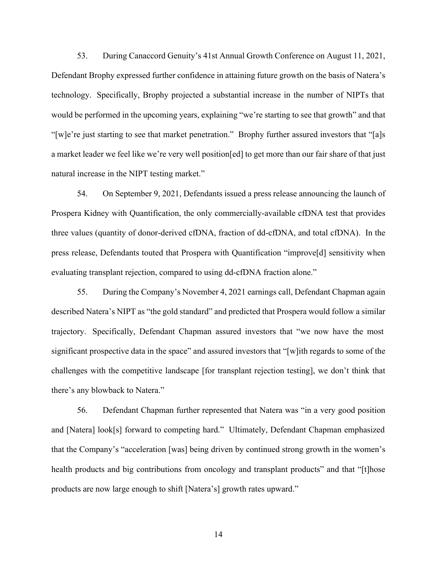53. During Canaccord Genuity's 41st Annual Growth Conference on August 11, 2021, Defendant Brophy expressed further confidence in attaining future growth on the basis of Natera's technology. Specifically, Brophy projected a substantial increase in the number of NIPTs that would be performed in the upcoming years, explaining "we're starting to see that growth" and that "[w]e're just starting to see that market penetration." Brophy further assured investors that "[a]s a market leader we feel like we're very well position[ed] to get more than our fair share of that just natural increase in the NIPT testing market."

54. On September 9, 2021, Defendants issued a press release announcing the launch of Prospera Kidney with Quantification, the only commercially-available cfDNA test that provides three values (quantity of donor-derived cfDNA, fraction of dd-cfDNA, and total cfDNA). In the press release, Defendants touted that Prospera with Quantification "improve[d] sensitivity when evaluating transplant rejection, compared to using dd-cfDNA fraction alone."

55. During the Company's November 4, 2021 earnings call, Defendant Chapman again described Natera's NIPT as "the gold standard" and predicted that Prospera would follow a similar trajectory. Specifically, Defendant Chapman assured investors that "we now have the most significant prospective data in the space" and assured investors that "[w]ith regards to some of the challenges with the competitive landscape [for transplant rejection testing], we don't think that there's any blowback to Natera."

56. Defendant Chapman further represented that Natera was "in a very good position and [Natera] look[s] forward to competing hard." Ultimately, Defendant Chapman emphasized that the Company's "acceleration [was] being driven by continued strong growth in the women's health products and big contributions from oncology and transplant products" and that "[t]hose products are now large enough to shift [Natera's] growth rates upward."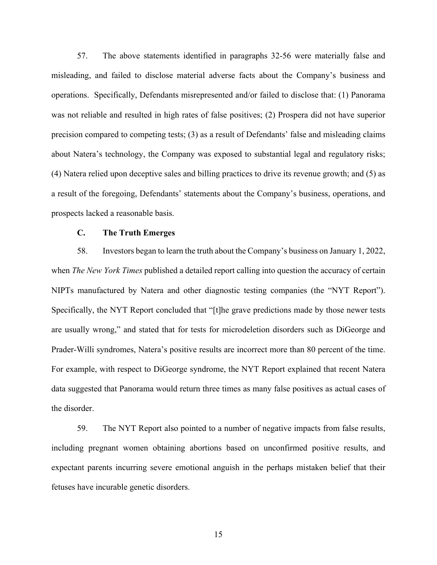57. The above statements identified in paragraphs 32-56 were materially false and misleading, and failed to disclose material adverse facts about the Company's business and operations. Specifically, Defendants misrepresented and/or failed to disclose that: (1) Panorama was not reliable and resulted in high rates of false positives; (2) Prospera did not have superior precision compared to competing tests; (3) as a result of Defendants' false and misleading claims about Natera's technology, the Company was exposed to substantial legal and regulatory risks; (4) Natera relied upon deceptive sales and billing practices to drive its revenue growth; and (5) as a result of the foregoing, Defendants' statements about the Company's business, operations, and prospects lacked a reasonable basis.

### **C. The Truth Emerges**

58. Investors began to learn the truth about the Company's business on January 1, 2022, when *The New York Times* published a detailed report calling into question the accuracy of certain NIPTs manufactured by Natera and other diagnostic testing companies (the "NYT Report"). Specifically, the NYT Report concluded that "[t]he grave predictions made by those newer tests are usually wrong," and stated that for tests for microdeletion disorders such as DiGeorge and Prader-Willi syndromes, Natera's positive results are incorrect more than 80 percent of the time. For example, with respect to DiGeorge syndrome, the NYT Report explained that recent Natera data suggested that Panorama would return three times as many false positives as actual cases of the disorder.

59. The NYT Report also pointed to a number of negative impacts from false results, including pregnant women obtaining abortions based on unconfirmed positive results, and expectant parents incurring severe emotional anguish in the perhaps mistaken belief that their fetuses have incurable genetic disorders.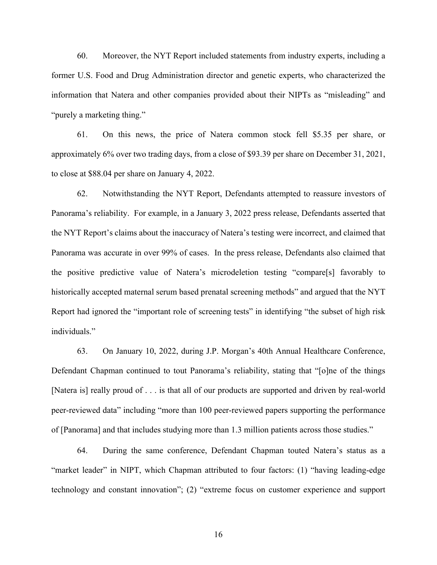60. Moreover, the NYT Report included statements from industry experts, including a former U.S. Food and Drug Administration director and genetic experts, who characterized the information that Natera and other companies provided about their NIPTs as "misleading" and "purely a marketing thing."

61. On this news, the price of Natera common stock fell \$5.35 per share, or approximately 6% over two trading days, from a close of \$93.39 per share on December 31, 2021, to close at \$88.04 per share on January 4, 2022.

62. Notwithstanding the NYT Report, Defendants attempted to reassure investors of Panorama's reliability. For example, in a January 3, 2022 press release, Defendants asserted that the NYT Report's claims about the inaccuracy of Natera's testing were incorrect, and claimed that Panorama was accurate in over 99% of cases. In the press release, Defendants also claimed that the positive predictive value of Natera's microdeletion testing "compare[s] favorably to historically accepted maternal serum based prenatal screening methods" and argued that the NYT Report had ignored the "important role of screening tests" in identifying "the subset of high risk individuals."

63. On January 10, 2022, during J.P. Morgan's 40th Annual Healthcare Conference, Defendant Chapman continued to tout Panorama's reliability, stating that "[o]ne of the things [Natera is] really proud of . . . is that all of our products are supported and driven by real-world peer-reviewed data" including "more than 100 peer-reviewed papers supporting the performance of [Panorama] and that includes studying more than 1.3 million patients across those studies."

64. During the same conference, Defendant Chapman touted Natera's status as a "market leader" in NIPT, which Chapman attributed to four factors: (1) "having leading-edge technology and constant innovation"; (2) "extreme focus on customer experience and support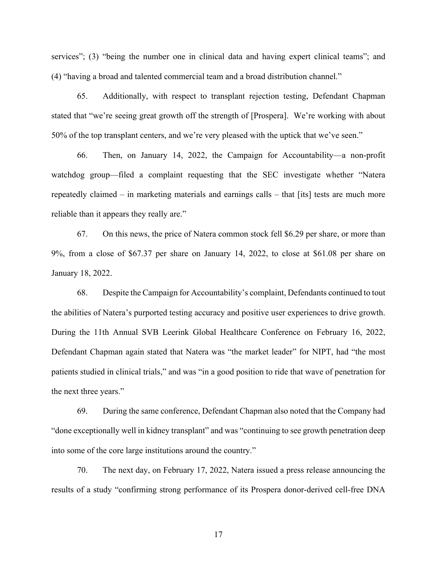services"; (3) "being the number one in clinical data and having expert clinical teams"; and (4) "having a broad and talented commercial team and a broad distribution channel."

65. Additionally, with respect to transplant rejection testing, Defendant Chapman stated that "we're seeing great growth off the strength of [Prospera]. We're working with about 50% of the top transplant centers, and we're very pleased with the uptick that we've seen."

66. Then, on January 14, 2022, the Campaign for Accountability—a non-profit watchdog group—filed a complaint requesting that the SEC investigate whether "Natera repeatedly claimed – in marketing materials and earnings calls – that [its] tests are much more reliable than it appears they really are."

67. On this news, the price of Natera common stock fell \$6.29 per share, or more than 9%, from a close of \$67.37 per share on January 14, 2022, to close at \$61.08 per share on January 18, 2022.

68. Despite the Campaign for Accountability's complaint, Defendants continued to tout the abilities of Natera's purported testing accuracy and positive user experiences to drive growth. During the 11th Annual SVB Leerink Global Healthcare Conference on February 16, 2022, Defendant Chapman again stated that Natera was "the market leader" for NIPT, had "the most patients studied in clinical trials," and was "in a good position to ride that wave of penetration for the next three years."

69. During the same conference, Defendant Chapman also noted that the Company had "done exceptionally well in kidney transplant" and was "continuing to see growth penetration deep into some of the core large institutions around the country."

70. The next day, on February 17, 2022, Natera issued a press release announcing the results of a study "confirming strong performance of its Prospera donor-derived cell-free DNA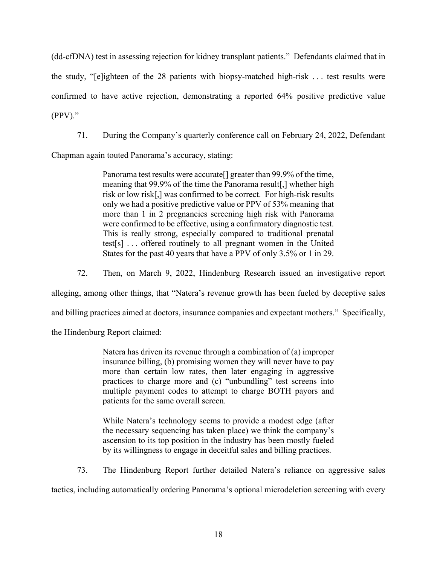(dd-cfDNA) test in assessing rejection for kidney transplant patients." Defendants claimed that in the study, "[e]ighteen of the 28 patients with biopsy-matched high-risk . . . test results were confirmed to have active rejection, demonstrating a reported 64% positive predictive value (PPV)."

71. During the Company's quarterly conference call on February 24, 2022, Defendant

Chapman again touted Panorama's accuracy, stating:

Panorama test results were accurate[] greater than 99.9% of the time, meaning that 99.9% of the time the Panorama result[,] whether high risk or low risk[,] was confirmed to be correct. For high-risk results only we had a positive predictive value or PPV of 53% meaning that more than 1 in 2 pregnancies screening high risk with Panorama were confirmed to be effective, using a confirmatory diagnostic test. This is really strong, especially compared to traditional prenatal test[s] . . . offered routinely to all pregnant women in the United States for the past 40 years that have a PPV of only 3.5% or 1 in 29.

72. Then, on March 9, 2022, Hindenburg Research issued an investigative report

alleging, among other things, that "Natera's revenue growth has been fueled by deceptive sales

and billing practices aimed at doctors, insurance companies and expectant mothers." Specifically,

the Hindenburg Report claimed:

Natera has driven its revenue through a combination of (a) improper insurance billing, (b) promising women they will never have to pay more than certain low rates, then later engaging in aggressive practices to charge more and (c) "unbundling" test screens into multiple payment codes to attempt to charge BOTH payors and patients for the same overall screen.

While Natera's technology seems to provide a modest edge (after the necessary sequencing has taken place) we think the company's ascension to its top position in the industry has been mostly fueled by its willingness to engage in deceitful sales and billing practices.

73. The Hindenburg Report further detailed Natera's reliance on aggressive sales

tactics, including automatically ordering Panorama's optional microdeletion screening with every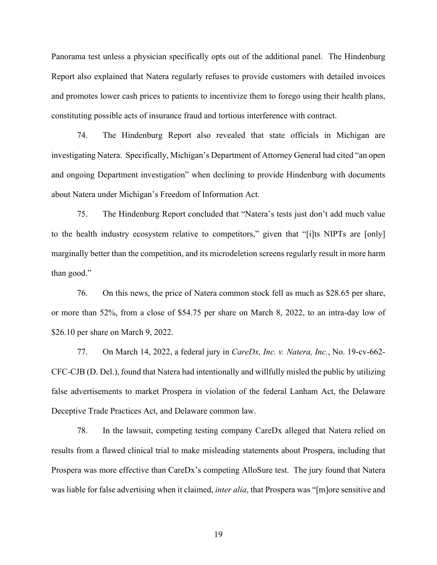Panorama test unless a physician specifically opts out of the additional panel. The Hindenburg Report also explained that Natera regularly refuses to provide customers with detailed invoices and promotes lower cash prices to patients to incentivize them to forego using their health plans, constituting possible acts of insurance fraud and tortious interference with contract.

74. The Hindenburg Report also revealed that state officials in Michigan are investigating Natera. Specifically, Michigan's Department of Attorney General had cited "an open and ongoing Department investigation" when declining to provide Hindenburg with documents about Natera under Michigan's Freedom of Information Act.

75. The Hindenburg Report concluded that "Natera's tests just don't add much value to the health industry ecosystem relative to competitors," given that "[i]ts NIPTs are [only] marginally better than the competition, and its microdeletion screens regularly result in more harm than good."

76. On this news, the price of Natera common stock fell as much as \$28.65 per share, or more than 52%, from a close of \$54.75 per share on March 8, 2022, to an intra-day low of \$26.10 per share on March 9, 2022.

77. On March 14, 2022, a federal jury in *CareDx, Inc. v. Natera, Inc.*, No. 19-cv-662- CFC-CJB (D. Del.), found that Natera had intentionally and willfully misled the public by utilizing false advertisements to market Prospera in violation of the federal Lanham Act, the Delaware Deceptive Trade Practices Act, and Delaware common law.

78. In the lawsuit, competing testing company CareDx alleged that Natera relied on results from a flawed clinical trial to make misleading statements about Prospera, including that Prospera was more effective than CareDx's competing AlloSure test. The jury found that Natera was liable for false advertising when it claimed, *inter alia*, that Prospera was "[m]ore sensitive and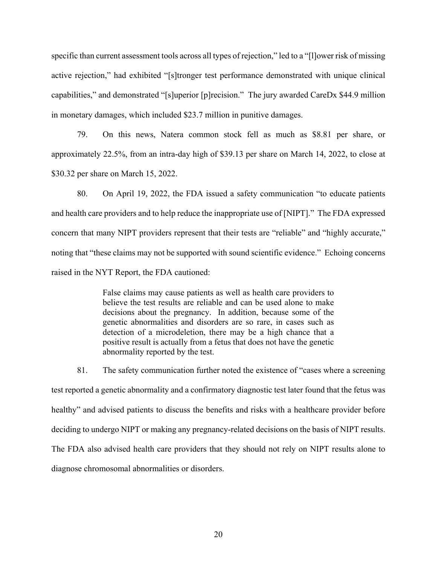specific than current assessment tools across all types of rejection," led to a "[l]ower risk of missing active rejection," had exhibited "[s]tronger test performance demonstrated with unique clinical capabilities," and demonstrated "[s]uperior [p]recision." The jury awarded CareDx \$44.9 million in monetary damages, which included \$23.7 million in punitive damages.

79. On this news, Natera common stock fell as much as \$8.81 per share, or approximately 22.5%, from an intra-day high of \$39.13 per share on March 14, 2022, to close at \$30.32 per share on March 15, 2022.

80. On April 19, 2022, the FDA issued a safety communication "to educate patients and health care providers and to help reduce the inappropriate use of [NIPT]." The FDA expressed concern that many NIPT providers represent that their tests are "reliable" and "highly accurate," noting that "these claims may not be supported with sound scientific evidence." Echoing concerns raised in the NYT Report, the FDA cautioned:

> False claims may cause patients as well as health care providers to believe the test results are reliable and can be used alone to make decisions about the pregnancy. In addition, because some of the genetic abnormalities and disorders are so rare, in cases such as detection of a microdeletion, there may be a high chance that a positive result is actually from a fetus that does not have the genetic abnormality reported by the test.

81. The safety communication further noted the existence of "cases where a screening test reported a genetic abnormality and a confirmatory diagnostic test later found that the fetus was healthy" and advised patients to discuss the benefits and risks with a healthcare provider before deciding to undergo NIPT or making any pregnancy-related decisions on the basis of NIPT results. The FDA also advised health care providers that they should not rely on NIPT results alone to diagnose chromosomal abnormalities or disorders.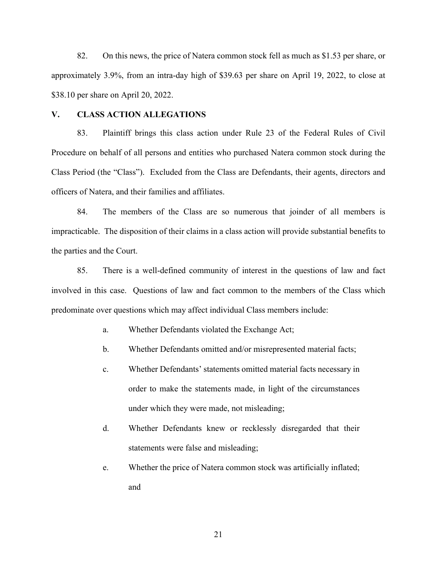82. On this news, the price of Natera common stock fell as much as \$1.53 per share, or approximately 3.9%, from an intra-day high of \$39.63 per share on April 19, 2022, to close at \$38.10 per share on April 20, 2022.

### **V. CLASS ACTION ALLEGATIONS**

83. Plaintiff brings this class action under Rule 23 of the Federal Rules of Civil Procedure on behalf of all persons and entities who purchased Natera common stock during the Class Period (the "Class"). Excluded from the Class are Defendants, their agents, directors and officers of Natera, and their families and affiliates.

84. The members of the Class are so numerous that joinder of all members is impracticable. The disposition of their claims in a class action will provide substantial benefits to the parties and the Court.

85. There is a well-defined community of interest in the questions of law and fact involved in this case. Questions of law and fact common to the members of the Class which predominate over questions which may affect individual Class members include:

- a. Whether Defendants violated the Exchange Act;
- b. Whether Defendants omitted and/or misrepresented material facts;
- c. Whether Defendants' statements omitted material facts necessary in order to make the statements made, in light of the circumstances under which they were made, not misleading;
- d. Whether Defendants knew or recklessly disregarded that their statements were false and misleading;
- e. Whether the price of Natera common stock was artificially inflated; and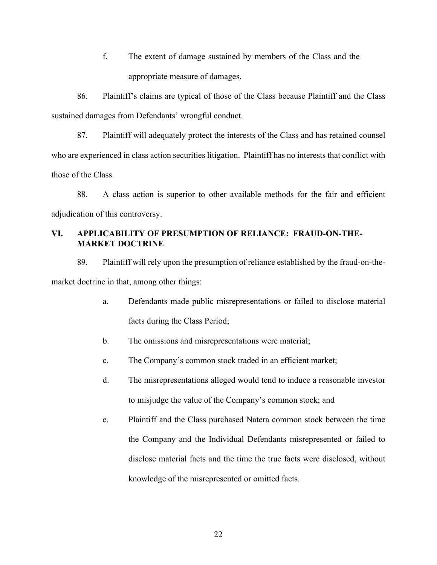f. The extent of damage sustained by members of the Class and the appropriate measure of damages.

86. Plaintiff's claims are typical of those of the Class because Plaintiff and the Class sustained damages from Defendants' wrongful conduct.

87. Plaintiff will adequately protect the interests of the Class and has retained counsel who are experienced in class action securities litigation. Plaintiff has no interests that conflict with those of the Class.

88. A class action is superior to other available methods for the fair and efficient adjudication of this controversy.

# **VI. APPLICABILITY OF PRESUMPTION OF RELIANCE: FRAUD-ON-THE-MARKET DOCTRINE**

89. Plaintiff will rely upon the presumption of reliance established by the fraud-on-themarket doctrine in that, among other things:

- a. Defendants made public misrepresentations or failed to disclose material facts during the Class Period;
- b. The omissions and misrepresentations were material;
- c. The Company's common stock traded in an efficient market;
- d. The misrepresentations alleged would tend to induce a reasonable investor to misjudge the value of the Company's common stock; and
- e. Plaintiff and the Class purchased Natera common stock between the time the Company and the Individual Defendants misrepresented or failed to disclose material facts and the time the true facts were disclosed, without knowledge of the misrepresented or omitted facts.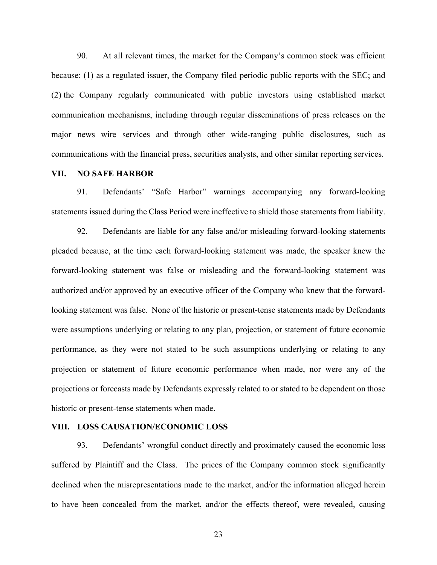90. At all relevant times, the market for the Company's common stock was efficient because: (1) as a regulated issuer, the Company filed periodic public reports with the SEC; and (2) the Company regularly communicated with public investors using established market communication mechanisms, including through regular disseminations of press releases on the major news wire services and through other wide-ranging public disclosures, such as communications with the financial press, securities analysts, and other similar reporting services.

### **VII. NO SAFE HARBOR**

91. Defendants' "Safe Harbor" warnings accompanying any forward-looking statements issued during the Class Period were ineffective to shield those statements from liability.

92. Defendants are liable for any false and/or misleading forward-looking statements pleaded because, at the time each forward-looking statement was made, the speaker knew the forward-looking statement was false or misleading and the forward-looking statement was authorized and/or approved by an executive officer of the Company who knew that the forwardlooking statement was false. None of the historic or present-tense statements made by Defendants were assumptions underlying or relating to any plan, projection, or statement of future economic performance, as they were not stated to be such assumptions underlying or relating to any projection or statement of future economic performance when made, nor were any of the projections or forecasts made by Defendants expressly related to or stated to be dependent on those historic or present-tense statements when made.

### **VIII. LOSS CAUSATION/ECONOMIC LOSS**

93. Defendants' wrongful conduct directly and proximately caused the economic loss suffered by Plaintiff and the Class. The prices of the Company common stock significantly declined when the misrepresentations made to the market, and/or the information alleged herein to have been concealed from the market, and/or the effects thereof, were revealed, causing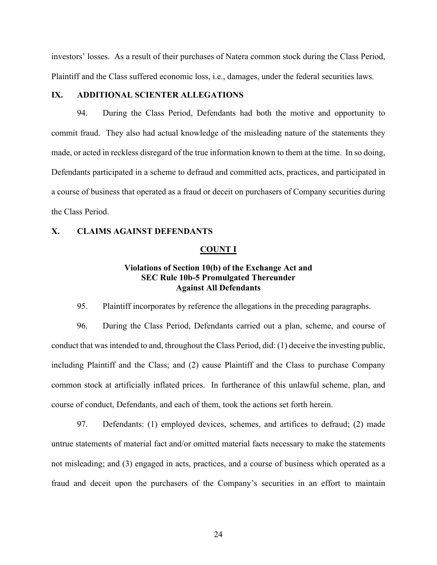investors' losses. As a result of their purchases of Natera common stock during the Class Period, Plaintiff and the Class suffered economic loss, i.e., damages, under the federal securities laws.

## **IX. ADDITIONAL SCIENTER ALLEGATIONS**

94. During the Class Period, Defendants had both the motive and opportunity to commit fraud. They also had actual knowledge of the misleading nature of the statements they made, or acted in reckless disregard of the true information known to them at the time. In so doing, Defendants participated in a scheme to defraud and committed acts, practices, and participated in a course of business that operated as a fraud or deceit on purchasers of Company securities during the Class Period.

### **X. CLAIMS AGAINST DEFENDANTS**

#### **COUNT I**

# **Violations of Section 10(b) of the Exchange Act and SEC Rule 10b-5 Promulgated Thereunder Against All Defendants**

95. Plaintiff incorporates by reference the allegations in the preceding paragraphs.

96. During the Class Period, Defendants carried out a plan, scheme, and course of conduct that was intended to and, throughout the Class Period, did: (1) deceive the investing public, including Plaintiff and the Class; and (2) cause Plaintiff and the Class to purchase Company common stock at artificially inflated prices. In furtherance of this unlawful scheme, plan, and course of conduct, Defendants, and each of them, took the actions set forth herein.

97. Defendants: (1) employed devices, schemes, and artifices to defraud; (2) made untrue statements of material fact and/or omitted material facts necessary to make the statements not misleading; and (3) engaged in acts, practices, and a course of business which operated as a fraud and deceit upon the purchasers of the Company's securities in an effort to maintain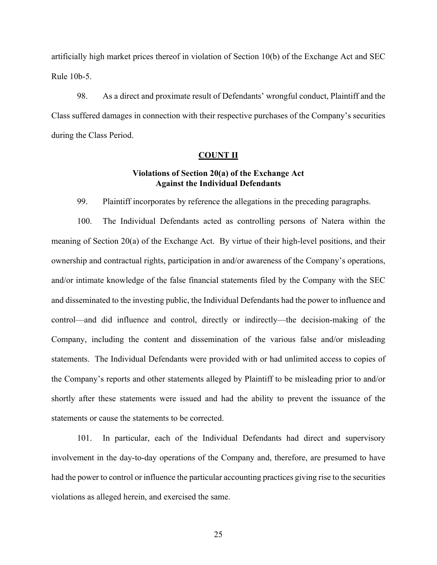artificially high market prices thereof in violation of Section 10(b) of the Exchange Act and SEC Rule 10b-5.

98. As a direct and proximate result of Defendants' wrongful conduct, Plaintiff and the Class suffered damages in connection with their respective purchases of the Company's securities during the Class Period.

### **COUNT II**

# **Violations of Section 20(a) of the Exchange Act Against the Individual Defendants**

99. Plaintiff incorporates by reference the allegations in the preceding paragraphs.

100. The Individual Defendants acted as controlling persons of Natera within the meaning of Section 20(a) of the Exchange Act. By virtue of their high-level positions, and their ownership and contractual rights, participation in and/or awareness of the Company's operations, and/or intimate knowledge of the false financial statements filed by the Company with the SEC and disseminated to the investing public, the Individual Defendants had the power to influence and control—and did influence and control, directly or indirectly—the decision-making of the Company, including the content and dissemination of the various false and/or misleading statements. The Individual Defendants were provided with or had unlimited access to copies of the Company's reports and other statements alleged by Plaintiff to be misleading prior to and/or shortly after these statements were issued and had the ability to prevent the issuance of the statements or cause the statements to be corrected.

101. In particular, each of the Individual Defendants had direct and supervisory involvement in the day-to-day operations of the Company and, therefore, are presumed to have had the power to control or influence the particular accounting practices giving rise to the securities violations as alleged herein, and exercised the same.